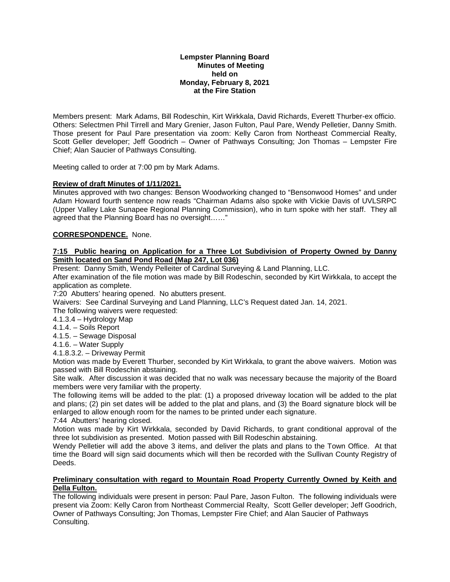### **Lempster Planning Board Minutes of Meeting held on Monday, February 8, 2021 at the Fire Station**

Members present: Mark Adams, Bill Rodeschin, Kirt Wirkkala, David Richards, Everett Thurber-ex officio. Others: Selectmen Phil Tirrell and Mary Grenier, Jason Fulton, Paul Pare, Wendy Pelletier, Danny Smith. Those present for Paul Pare presentation via zoom: Kelly Caron from Northeast Commercial Realty, Scott Geller developer; Jeff Goodrich – Owner of Pathways Consulting; Jon Thomas – Lempster Fire Chief; Alan Saucier of Pathways Consulting.

Meeting called to order at 7:00 pm by Mark Adams.

## **Review of draft Minutes of 1/11/2021.**

Minutes approved with two changes: Benson Woodworking changed to "Bensonwood Homes" and under Adam Howard fourth sentence now reads "Chairman Adams also spoke with Vickie Davis of UVLSRPC (Upper Valley Lake Sunapee Regional Planning Commission), who in turn spoke with her staff. They all agreed that the Planning Board has no oversight……"

# **CORRESPONDENCE.** None.

### **7:15 Public hearing on Application for a Three Lot Subdivision of Property Owned by Danny Smith located on Sand Pond Road (Map 247, Lot 036)**

Present: Danny Smith, Wendy Pelleiter of Cardinal Surveying & Land Planning, LLC.

After examination of the file motion was made by Bill Rodeschin, seconded by Kirt Wirkkala, to accept the application as complete.

7:20 Abutters' hearing opened. No abutters present.

Waivers: See Cardinal Surveying and Land Planning, LLC's Request dated Jan. 14, 2021.

The following waivers were requested:

4.1.3.4 – Hydrology Map

4.1.4. – Soils Report

4.1.5. – Sewage Disposal

4.1.6. – Water Supply

4.1.8.3.2. – Driveway Permit

Motion was made by Everett Thurber, seconded by Kirt Wirkkala, to grant the above waivers. Motion was passed with Bill Rodeschin abstaining.

Site walk. After discussion it was decided that no walk was necessary because the majority of the Board members were very familiar with the property.

The following items will be added to the plat: (1) a proposed driveway location will be added to the plat and plans; (2) pin set dates will be added to the plat and plans, and (3) the Board signature block will be enlarged to allow enough room for the names to be printed under each signature.

7:44 Abutters' hearing closed.

Motion was made by Kirt Wirkkala, seconded by David Richards, to grant conditional approval of the three lot subdivision as presented. Motion passed with Bill Rodeschin abstaining.

Wendy Pelletier will add the above 3 items, and deliver the plats and plans to the Town Office. At that time the Board will sign said documents which will then be recorded with the Sullivan County Registry of **Deeds** 

### **Preliminary consultation with regard to Mountain Road Property Currently Owned by Keith and Della Fulton.**

The following individuals were present in person: Paul Pare, Jason Fulton. The following individuals were present via Zoom: Kelly Caron from Northeast Commercial Realty, Scott Geller developer; Jeff Goodrich, Owner of Pathways Consulting; Jon Thomas, Lempster Fire Chief; and Alan Saucier of Pathways Consulting.